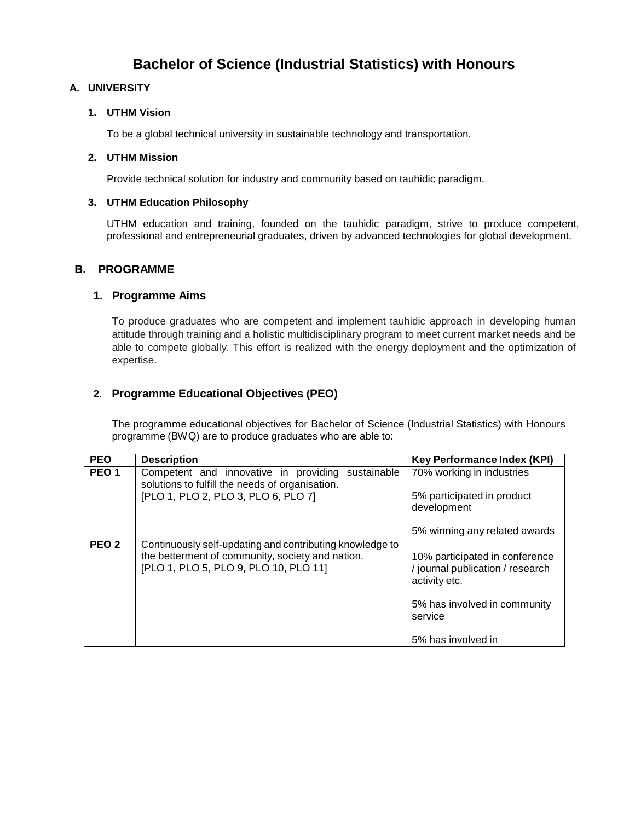# **Bachelor of Science (Industrial Statistics) with Honours**

# **A. UNIVERSITY**

## **1. UTHM Vision**

To be a global technical university in sustainable technology and transportation.

#### **2. UTHM Mission**

Provide technical solution for industry and community based on tauhidic paradigm.

#### **3. UTHM Education Philosophy**

UTHM education and training, founded on the tauhidic paradigm, strive to produce competent, professional and entrepreneurial graduates, driven by advanced technologies for global development.

# **B. PROGRAMME**

## **1. Programme Aims**

To produce graduates who are competent and implement tauhidic approach in developing human attitude through training and a holistic multidisciplinary program to meet current market needs and be able to compete globally. This effort is realized with the energy deployment and the optimization of expertise.

# **2. Programme Educational Objectives (PEO)**

The programme educational objectives for Bachelor of Science (Industrial Statistics) with Honours programme (BWQ) are to produce graduates who are able to:

| <b>PEO</b>       | <b>Description</b>                                                                                                                                    | <b>Key Performance Index (KPI)</b>                                                                                                                   |
|------------------|-------------------------------------------------------------------------------------------------------------------------------------------------------|------------------------------------------------------------------------------------------------------------------------------------------------------|
| PEO <sub>1</sub> | Competent and innovative in providing sustainable<br>solutions to fulfill the needs of organisation.                                                  | 70% working in industries                                                                                                                            |
|                  | [PLO 1, PLO 2, PLO 3, PLO 6, PLO 7]                                                                                                                   | 5% participated in product<br>development                                                                                                            |
|                  |                                                                                                                                                       | 5% winning any related awards                                                                                                                        |
| PEO <sub>2</sub> | Continuously self-updating and contributing knowledge to<br>the betterment of community, society and nation.<br>[PLO 1, PLO 5, PLO 9, PLO 10, PLO 11] | 10% participated in conference<br>/ journal publication / research<br>activity etc.<br>5% has involved in community<br>service<br>5% has involved in |